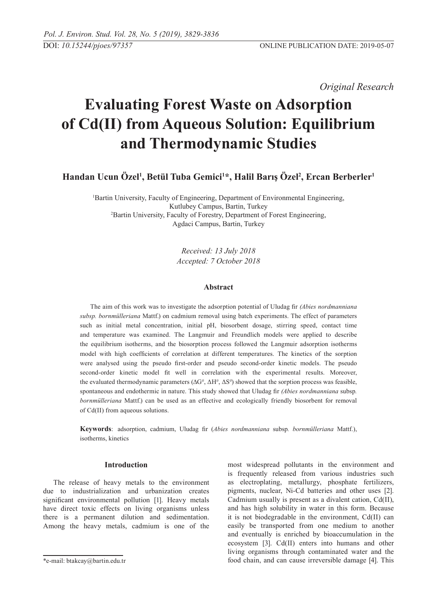*Original Research* 

# **Evaluating Forest Waste on Adsorption of Cd(II) from Aqueous Solution: Equilibrium and Thermodynamic Studies**

**Handan Ucun Özel1 , Betül Tuba Gemici1 \*, Halil Barış Özel<sup>2</sup> , Ercan Berberler1**

1 Bartin University, Faculty of Engineering, Department of Environmental Engineering, Kutlubey Campus, Bartin, Turkey 2 Bartin University, Faculty of Forestry, Department of Forest Engineering, Agdaci Campus, Bartin, Turkey

> *Received: 13 July 2018 Accepted: 7 October 2018*

## **Abstract**

The aim of this work was to investigate the adsorption potential of Uludag fir *(Abies nordmanniana subsp. bornmülleriana* Mattf.) on cadmium removal using batch experiments. The effect of parameters such as initial metal concentration, initial pH, biosorbent dosage, stirring speed, contact time and temperature was examined. The Langmuir and Freundlich models were applied to describe the equilibrium isotherms, and the biosorption process followed the Langmuir adsorption isotherms model with high coefficients of correlation at different temperatures. The kinetics of the sorption were analysed using the pseudo first-order and pseudo second-order kinetic models. The pseudo second-order kinetic model fit well in correlation with the experimental results. Moreover, the evaluated thermodynamic parameters  $(\Delta G^0, \Delta H^0, \Delta S^0)$  showed that the sorption process was feasible, spontaneous and endothermic in nature. This study showed that Uludag fir *(Abies nordmanniana* subsp*. bornmülleriana* Mattf.) can be used as an effective and ecologically friendly biosorbent for removal of Cd(II) from aqueous solutions.

**Keywords**: adsorption, cadmium, Uludag fir (*Abies nordmanniana* subsp*. bornmülleriana* Mattf.), isotherms, kinetics

## **Introduction**

The release of heavy metals to the environment due to industrialization and urbanization creates significant environmental pollution [1]. Heavy metals have direct toxic effects on living organisms unless there is a permanent dilution and sedimentation. Among the heavy metals, cadmium is one of the most widespread pollutants in the environment and is frequently released from various industries such as electroplating, metallurgy, phosphate fertilizers, pigments, nuclear, Ni-Cd batteries and other uses [2]. Cadmium usually is present as a divalent cation, Cd(II), and has high solubility in water in this form. Because it is not biodegradable in the environment, Cd(II) can easily be transported from one medium to another and eventually is enriched by bioaccumulation in the ecosystem [3]. Cd(II) enters into humans and other living organisms through contaminated water and the food chain, and can cause irreversible damage [4]. This

<sup>\*</sup>e-mail: btakcay@bartin.edu.tr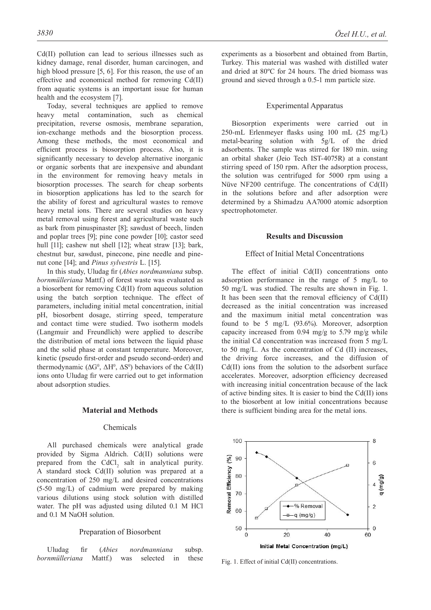Cd(II) pollution can lead to serious illnesses such as kidney damage, renal disorder, human carcinogen, and high blood pressure [5, 6]. For this reason, the use of an effective and economical method for removing Cd(II) from aquatic systems is an important issue for human health and the ecosystem [7].

Today, several techniques are applied to remove heavy metal contamination, such as chemical precipitation, reverse osmosis, membrane separation, ion-exchange methods and the biosorption process. Among these methods, the most economical and efficient process is biosorption process. Also, it is significantly necessary to develop alternative inorganic or organic sorbents that are inexpensive and abundant in the environment for removing heavy metals in biosorption processes. The search for cheap sorbents in biosorption applications has led to the search for the ability of forest and agricultural wastes to remove heavy metal ions. There are several studies on heavy metal removal using forest and agricultural waste such as bark from pinuspinaster [8]; sawdust of beech, linden and poplar trees [9]; pine cone powder [10]; castor seed hull [11]; cashew nut shell [12]; wheat straw [13]; bark, chestnut bur, sawdust, pinecone, pine needle and pinenut cone [14]; and *Pinus sylvestris* L. [15].

In this study, Uludag fir (*Abies nordmanniana* subsp. *bornmülleriana* Mattf.) of forest waste was evaluated as a biosorbent for removing Cd(II) from aqueous solution using the batch sorption technique. The effect of parameters, including initial metal concentration, initial pH, biosorbent dosage, stirring speed, temperature and contact time were studied. Two isotherm models (Langmuir and Freundlich) were applied to describe the distribution of metal ions between the liquid phase and the solid phase at constant temperature. Moreover, kinetic (pseudo first-order and pseudo second-order) and thermodynamic  $(\Delta G^0, \Delta H^0, \Delta S^0)$  behaviors of the Cd(II) ions onto Uludag fir were carried out to get information about adsorption studies.

#### **Material and Methods**

# Chemicals

All purchased chemicals were analytical grade provided by Sigma Aldrich. Cd(II) solutions were prepared from the  $CdCl<sub>2</sub>$  salt in analytical purity. A standard stock Cd(II) solution was prepared at a concentration of 250 mg/L and desired concentrations (5-50 mg/L) of cadmium were prepared by making various dilutions using stock solution with distilled water. The pH was adjusted using diluted 0.1 M HCl and 0.1 M NaOH solution.

#### Preparation of Biosorbent

Uludag fir (*Abies nordmanniana* subsp. *bornmülleriana* Mattf.) was selected in these experiments as a biosorbent and obtained from Bartin, Turkey. This material was washed with distilled water and dried at 80ºC for 24 hours. The dried biomass was ground and sieved through a 0.5-1 mm particle size.

## Experimental Apparatus

Biosorption experiments were carried out in 250-mL Erlenmeyer flasks using 100 mL (25 mg/L) metal-bearing solution with 5g/L of the dried adsorbents. The sample was stirred for 180 min. using an orbital shaker (Jeio Tech IST-4075R) at a constant stirring speed of 150 rpm. After the adsorption process, the solution was centrifuged for 5000 rpm using a Nüve NF200 centrifuge. The concentrations of Cd(II) in the solutions before and after adsorption were determined by a Shimadzu AA7000 atomic adsorption spectrophotometer.

#### **Results and Discussion**

#### Effect of Initial Metal Concentrations

The effect of initial Cd(II) concentrations onto adsorption performance in the range of 5 mg/L to 50 mg/L was studied. The results are shown in Fig. 1. It has been seen that the removal efficiency of Cd(II) decreased as the initial concentration was increased and the maximum initial metal concentration was found to be 5 mg/L (93.6%). Moreover, adsorption capacity increased from 0.94 mg/g to 5.79 mg/g while the initial Cd concentration was increased from 5 mg/L to 50 mg/L. As the concentration of Cd (II) increases, the driving force increases, and the diffusion of Cd(II) ions from the solution to the adsorbent surface accelerates. Moreover, adsorption efficiency decreased with increasing initial concentration because of the lack of active binding sites. It is easier to bind the Cd(II) ions to the biosorbent at low initial concentrations because there is sufficient binding area for the metal ions.



Fig. 1. Effect of initial Cd(II) concentrations.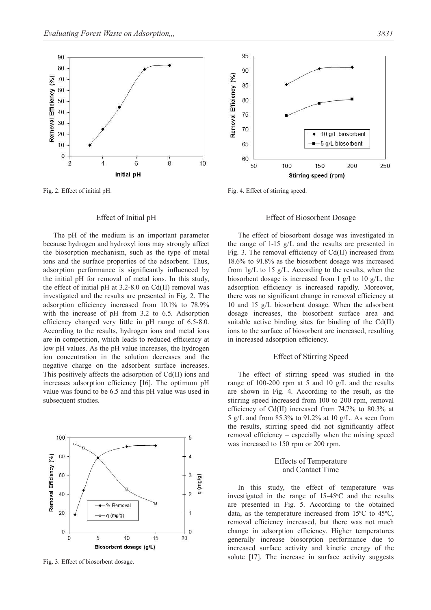

## Effect of Initial pH

The pH of the medium is an important parameter because hydrogen and hydroxyl ions may strongly affect the biosorption mechanism, such as the type of metal ions and the surface properties of the adsorbent. Thus, adsorption performance is significantly influenced by the initial pH for removal of metal ions. In this study, the effect of initial pH at 3.2-8.0 on Cd(II) removal was investigated and the results are presented in Fig. 2. The adsorption efficiency increased from 10.1% to 78.9% with the increase of pH from 3.2 to 6.5. Adsorption efficiency changed very little in pH range of 6.5-8.0. According to the results, hydrogen ions and metal ions are in competition, which leads to reduced efficiency at low pH values. As the pH value increases, the hydrogen ion concentration in the solution decreases and the negative charge on the adsorbent surface increases. This positively affects the adsorption of Cd(II) ions and increases adsorption efficiency [16]. The optimum pH value was found to be 6.5 and this pH value was used in subsequent studies.



Fig. 3. Effect of biosorbent dosage.



Fig. 2. Effect of initial pH. Fig. 4. Effect of stirring speed.

## Effect of Biosorbent Dosage

Stirring speed (rpm)

The effect of biosorbent dosage was investigated in the range of 1-15  $g/L$  and the results are presented in Fig. 3. The removal efficiency of Cd(II) increased from 18.6% to 91.8% as the biosorbent dosage was increased from  $1g/L$  to 15  $g/L$ . According to the results, when the biosorbent dosage is increased from 1 g/l to 10 g/L, the adsorption efficiency is increased rapidly. Moreover, there was no significant change in removal efficiency at 10 and 15 g/L biosorbent dosage. When the adsorbent dosage increases, the biosorbent surface area and suitable active binding sites for binding of the Cd(II) ions to the surface of biosorbent are increased, resulting in increased adsorption efficiency.

## Effect of Stirring Speed

The effect of stirring speed was studied in the range of 100-200 rpm at 5 and 10 g/L and the results are shown in Fig. 4. According to the result, as the stirring speed increased from 100 to 200 rpm, removal efficiency of Cd(II) increased from 74.7% to 80.3% at 5 g/L and from 85.3% to 91.2% at 10 g/L. As seen from the results, stirring speed did not significantly affect removal efficiency – especially when the mixing speed was increased to 150 rpm or 200 rpm.

# Effects of Temperature and Contact Time

In this study, the effect of temperature was investigated in the range of  $15-45^{\circ}$ C and the results are presented in Fig. 5. According to the obtained data, as the temperature increased from 15ºC to 45ºC, removal efficiency increased, but there was not much change in adsorption efficiency. Higher temperatures generally increase biosorption performance due to increased surface activity and kinetic energy of the solute [17]. The increase in surface activity suggests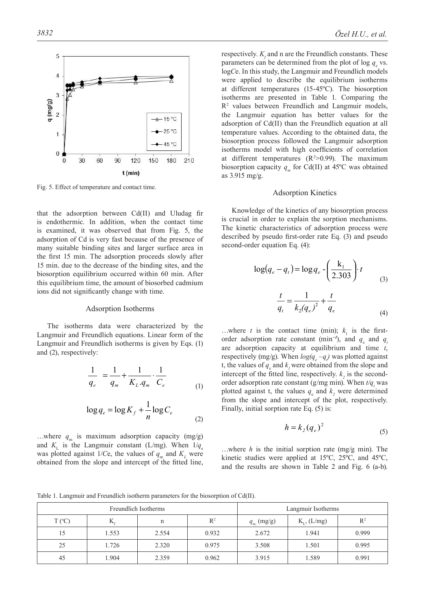

Fig. 5. Effect of temperature and contact time.

that the adsorption between Cd(II) and Uludag fir is endothermic. In addition, when the contact time is examined, it was observed that from Fig. 5, the adsorption of Cd is very fast because of the presence of many suitable binding sites and larger surface area in the first 15 min. The adsorption proceeds slowly after 15 min. due to the decrease of the binding sites, and the biosorption equilibrium occurred within 60 min. After this equilibrium time, the amount of biosorbed cadmium ions did not significantly change with time.

#### Adsorption Isotherms

The isotherms data were characterized by the Langmuir and Freundlich equations. Linear form of the Langmuir and Freundlich isotherms is given by Eqs. (1) and (2), respectively:

$$
\frac{1}{q_e} = \frac{1}{q_m} + \frac{1}{K_L.q_m} \cdot \frac{1}{C_e}
$$
 (1)

$$
\log q_e = \log K_f + \frac{1}{n} \log C_e \tag{2}
$$

...where  $q_m$  is maximum adsorption capacity (mg/g) and  $K_{\text{L}}$  is the Langmuir constant (L/mg). When  $1/q_e$ was plotted against 1/Ce, the values of  $q_{\text{m}}$  and  $K_{\text{L}}$  were obtained from the slope and intercept of the fitted line,

respectively.  $K_f$  and n are the Freundlich constants. These parameters can be determined from the plot of log  $q_e$  vs. log*C*e. In this study, the Langmuir and Freundlich models were applied to describe the equilibrium isotherms at different temperatures (15-45ºC). The biosorption isotherms are presented in Table 1. Comparing the R2 values between Freundlich and Langmuir models, the Langmuir equation has better values for the adsorption of Cd(II) than the Freundlich equation at all temperature values. According to the obtained data, the biosorption process followed the Langmuir adsorption isotherms model with high coefficients of correlation at different temperatures  $(R^2>0.99)$ . The maximum biosorption capacity  $q_m$  for Cd(II) at 45<sup>o</sup>C was obtained as 3.915 mg/g.

#### Adsorption Kinetics

Knowledge of the kinetics of any biosorption process is crucial in order to explain the sorption mechanisms. The kinetic characteristics of adsorption process were described by pseudo first-order rate Eq. (3) and pseudo second-order equation Eq. (4):

$$
\log(q_e - q_t) = \log q_e - \left(\frac{k_1}{2.303}\right) t
$$
  

$$
\frac{t}{q_t} = \frac{1}{k_2(q_e)^2} + \frac{t}{q_e}
$$
 (4)

...where *t* is the contact time (min);  $k_1$  is the firstorder adsorption rate constant (min<sup>-1</sup>), and *q<sub>e</sub>* and *q<sub>t</sub>* are adsorption capacity at equilibrium and time *t*, respectively (mg/g). When  $log(q_e - q_t)$  was plotted against t, the values of  $q_e$  and  $k_l$  were obtained from the slope and intercept of the fitted line, respectively.  $k_2$  is the secondorder adsorption rate constant (g/mg min). When  $t/q_t$  was plotted against t, the values  $q_e$  and  $k_2$  were determined from the slope and intercept of the plot, respectively. Finally, initial sorption rate Eq.  $(5)$  is:

$$
h = k_2 (q_e)^2 \tag{5}
$$

…where *h* is the initial sorption rate (mg/g min). The kinetic studies were applied at 15ºC, 25ºC, and 45ºC, and the results are shown in Table 2 and Fig. 6 (a-b).

Table 1. Langmuir and Freundlich isotherm parameters for the biosorption of Cd(II).

|                 |                | Freundlich Isotherms | Langmuir Isotherms |                |                  |       |  |
|-----------------|----------------|----------------------|--------------------|----------------|------------------|-------|--|
| $T (^{\circ}C)$ | $\mathbf{N}_c$ | n                    | $R^2$              | $q_{m}$ (mg/g) | $K_{L}$ , (L/mg) | $R^2$ |  |
| 15              | 1.553          | 2.554                | 0.932              | 2.672          | 1.941            | 0.999 |  |
| 25              | 1.726          | 2.320                | 0.975              | 3.508          | 1.501            | 0.995 |  |
| 45              | 1.904          | 2.359                | 0.962              | 3.915          | 1.589            | 0.991 |  |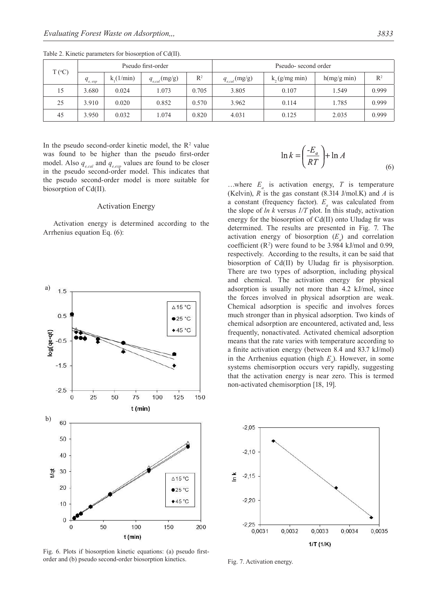| $T (^{\circ}C)$ | Pseudo first-order |          |                    |                | Pseudo-second order |                    |             |                |
|-----------------|--------------------|----------|--------------------|----------------|---------------------|--------------------|-------------|----------------|
|                 | $q_{e, exp}$       | k(1/min) | $q_{e,cal}$ (mg/g) | $\mathbb{R}^2$ | $q_{e,cal}$ (mg/g)  | $k$ , $(g/mg min)$ | h(mg/g min) | $\mathbb{R}^2$ |
| 15              | 3.680              | 0.024    | 1.073              | 0.705          | 3.805               | 0.107              | 1.549       | 0.999          |
| 25              | 3.910              | 0.020    | 0.852              | 0.570          | 3.962               | 0.114              | 1.785       | 0.999          |
| 45              | 3.950              | 0.032    | .074               | 0.820          | 4.031               | 0.125              | 2.035       | 0.999          |

Table 2. Kinetic parameters for biosorption of Cd(II).

In the pseudo second-order kinetic model, the  $\mathbb{R}^2$  value was found to be higher than the pseudo first-order model. Also  $q_{\text{e,cal}}$  and  $q_{\text{e,err}}$  values are found to be closer in the pseudo second-order model. This indicates that the pseudo second-order model is more suitable for biosorption of Cd(II).

## Activation Energy

Activation energy is determined according to the Arrhenius equation Eq. (6):



Fig. 6. Plots if biosorption kinetic equations: (a) pseudo firstorder and (b) pseudo second-order biosorption kinetics.

$$
\ln k = \left(\frac{-E_a}{RT}\right) + \ln A \tag{6}
$$

...where  $E_a$  is activation energy,  $T$  is temperature (Kelvin), *R* is the gas constant (8.314 J/mol.K) and *A* is a constant (frequency factor).  $E_a$  was calculated from the slope of *ln k* versus *1/T* plot. In this study, activation energy for the biosorption of Cd(II) onto Uludag fir was determined. The results are presented in Fig. 7. The activation energy of biosorption  $(E_a)$  and correlation coefficient  $(R^2)$  were found to be 3.984 kJ/mol and 0.99, respectively. According to the results, it can be said that biosorption of Cd(II) by Uludag fir is physisorption. There are two types of adsorption, including physical and chemical. The activation energy for physical adsorption is usually not more than 4.2 kJ/mol, since the forces involved in physical adsorption are weak. Chemical adsorption is specific and involves forces much stronger than in physical adsorption. Two kinds of chemical adsorption are encountered, activated and, less frequently, nonactivated. Activated chemical adsorption means that the rate varies with temperature according to a finite activation energy (between 8.4 and 83.7 kJ/mol) in the Arrhenius equation (high  $E_a$ ). However, in some systems chemisorption occurs very rapidly, suggesting that the activation energy is near zero. This is termed non-activated chemisorption [18, 19].



Fig. 7. Activation energy.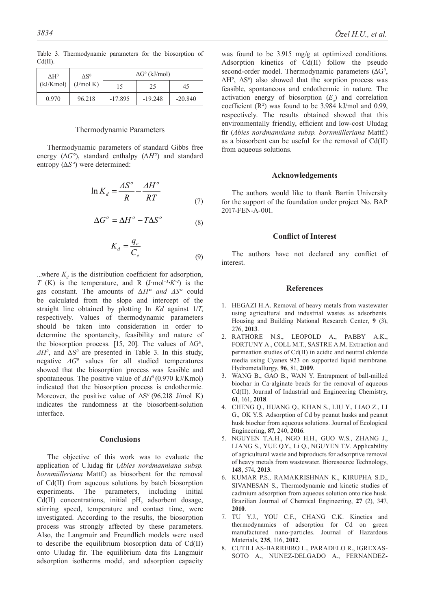Table 3. Thermodynamic parameters for the biosorption of Cd(II).

#### Thermodynamic Parameters

Thermodynamic parameters of standard Gibbs free energy (Δ*G°*), standard enthalpy (Δ*H°*) and standard entropy (Δ*S°*) were determined:

$$
\ln K_d = \frac{\Delta S^o}{R} - \frac{\Delta H^o}{RT}
$$
 (7)

$$
\Delta G^{\circ} = \Delta H^{\circ} - T\Delta S^{\circ} \tag{8}
$$

$$
K_d = \frac{q_e}{C_e} \tag{9}
$$

...where  $K_d$  is the distribution coefficient for adsorption, *T* (K) is the temperature, and R (J·mol*−1·K−1*) is the gas constant. The amounts of Δ*H° and ΔS°* could be calculated from the slope and intercept of the straight line obtained by plotting ln *Kd* against 1/*T*, respectively. Values of thermodynamic parameters should be taken into consideration in order to determine the spontaneity, feasibility and nature of the biosorption process. [15, 20]. The values of  $\Delta G^{\circ}$ ,  $\Delta H^0$ , and  $\Delta S^0$  are presented in Table 3. In this study, negative *ΔG<sup>0</sup>* values for all studied temperatures showed that the biosorption |process was feasible and spontaneous. The positive value of *ΔH<sup>0</sup>* (0.970 kJ/Kmol) indicated that the biosorption process is endothermic. Moreover, the positive value of ΔS*<sup>0</sup>* (96.218 J/mol K) indicates the randomness at the biosorbent-solution interface.

#### **Conclusions**

The objective of this work was to evaluate the application of Uludag fir (*Abies nordmanniana subsp. bornmülleriana* Mattf.) as biosorbent for the removal of Cd(II) from aqueous solutions by batch biosorption experiments. The parameters, including initial Cd(II) concentrations, initial pH, adsorbent dosage, stirring speed, temperature and contact time, were investigated. According to the results, the biosorption process was strongly affected by these parameters. Also, the Langmuir and Freundlich models were used to describe the equilibrium biosorption data of Cd(II) onto Uludag fir. The equilibrium data fits Langmuir adsorption isotherms model, and adsorption capacity

was found to be 3.915 mg/g at optimized conditions. Adsorption kinetics of Cd(II) follow the pseudo second-order model. Thermodynamic parameters (ΔG*<sup>0</sup>* , ΔH*<sup>0</sup>* , ΔS*<sup>0</sup>* ) also showed that the sorption process was feasible, spontaneous and endothermic in nature. The activation energy of biosorption  $(E_a)$  and correlation coefficient  $(R^2)$  was found to be 3.984 kJ/mol and 0.99, respectively. The results obtained showed that this environmentally friendly, efficient and low-cost Uludag fir (*Abies nordmanniana subsp. bornmülleriana* Mattf.) as a biosorbent can be useful for the removal of Cd(II) from aqueous solutions.

#### **Acknowledgements**

The authors would like to thank Bartin University for the support of the foundation under project No. BAP 2017-FEN-A-001.

#### **Conflict of Interest**

The authors have not declared any conflict of interest.

#### **References**

- 1. HEGAZI H.A. Removal of heavy metals from wastewater using agricultural and industrial wastes as adsorbents. Housing and Building National Research Center, **9** (3), 276, **2013**.
- 2. RATHORE N.S., LEOPOLD A., PABBY A.K., FORTUNY A., COLL M.T., SASTRE A.M. Extraction and permeation studies of Cd(II) in acidic and neutral chloride media using Cyanex 923 on supported liquid membrane. Hydrometallurgy, **96**, 81, **2009**.
- 3. WANG B., GAO B., WAN Y. Entrapment of ball-milled biochar in Ca-alginate beads for the removal of aqueous Cd(II). Journal of Industrial and Engineering Chemistry, **61**, 161, **2018**.
- 4. CHENG Q., HUANG Q., KHAN S., LIU Y., LIAO Z., LI G., OK Y.S. Adsorption of Cd by peanut husks and peanut husk biochar from aqueous solutions. Journal of Ecological Engineering, **87**, 240, **2016**.
- 5. NGUYEN T.A.H., NGO H.H., GUO W.S., ZHANG J., LIANG S., YUE Q.Y., Li Q., NGUYEN T.V. Applicability of agricultural waste and biproducts for adsorptive removal of heavy metals from wastewater. Bioresource Technology, **148**, 574, **2013**.
- 6. KUMAR P.S., RAMAKRISHNAN K., KIRUPHA S.D., SIVANESAN S., Thermodynamic and kinetic studies of cadmium adsorption from aqueous solution onto rice husk. Brazilian Journal of Chemical Engineering, **27** (2), 347, **2010**.
- 7. TU Y.J., YOU C.F., CHANG C.K. Kinetics and thermodynamics of adsorption for Cd on green manufactured nano-particles. Journal of Hazardous Materials, **235**, 116, **2012**.
- 8. CUTILLAS-BARREIRO L., PARADELO R., IGREXAS-SOTO A., NUNEZ-DELGADO A., FERNANDEZ-